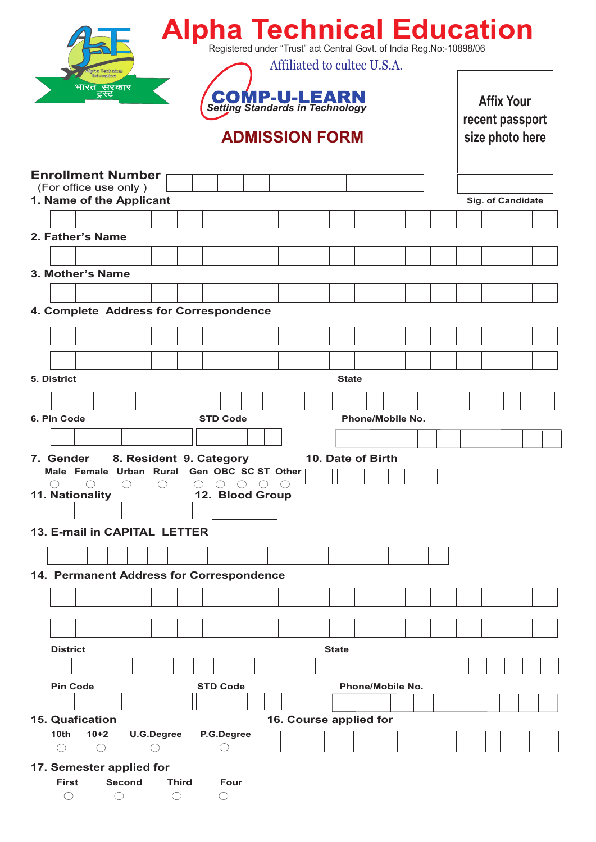|                                                                 |                                 |               |                 |       | <b>Alpha Technical Education</b><br>Registered under "Trust" act Central Govt. of India Reg. No:-10898/06 |  |                             |              |              |                         |  |  |  |  |                   |                   |  |
|-----------------------------------------------------------------|---------------------------------|---------------|-----------------|-------|-----------------------------------------------------------------------------------------------------------|--|-----------------------------|--------------|--------------|-------------------------|--|--|--|--|-------------------|-------------------|--|
|                                                                 | भारत <u>् सुर</u> कार<br>ट्रस्ट | ha Technics   |                 |       | <b>COMP-U-LEARN</b><br>Setting Standards in Technology                                                    |  | Affiliated to cultec U.S.A. |              |              |                         |  |  |  |  | <b>Affix Your</b> | recent passport   |  |
|                                                                 |                                 |               |                 |       |                                                                                                           |  | <b>ADMISSION FORM</b>       |              |              |                         |  |  |  |  |                   | size photo here   |  |
| <b>Enrollment Number</b><br>(For office use only)               |                                 |               |                 |       |                                                                                                           |  |                             |              |              |                         |  |  |  |  |                   |                   |  |
| 1. Name of the Applicant                                        |                                 |               |                 |       |                                                                                                           |  |                             |              |              |                         |  |  |  |  |                   | Sig. of Candidate |  |
|                                                                 |                                 |               |                 |       |                                                                                                           |  |                             |              |              |                         |  |  |  |  |                   |                   |  |
| 2. Father's Name                                                |                                 |               |                 |       |                                                                                                           |  |                             |              |              |                         |  |  |  |  |                   |                   |  |
|                                                                 |                                 |               |                 |       |                                                                                                           |  |                             |              |              |                         |  |  |  |  |                   |                   |  |
| 3. Mother's Name                                                |                                 |               |                 |       |                                                                                                           |  |                             |              |              |                         |  |  |  |  |                   |                   |  |
| 4. Complete Address for Correspondence                          |                                 |               |                 |       |                                                                                                           |  |                             |              |              |                         |  |  |  |  |                   |                   |  |
|                                                                 |                                 |               |                 |       |                                                                                                           |  |                             |              |              |                         |  |  |  |  |                   |                   |  |
|                                                                 |                                 |               |                 |       |                                                                                                           |  |                             |              |              |                         |  |  |  |  |                   |                   |  |
| 5. District                                                     |                                 |               |                 |       |                                                                                                           |  |                             |              | <b>State</b> |                         |  |  |  |  |                   |                   |  |
|                                                                 |                                 |               |                 |       |                                                                                                           |  |                             |              |              |                         |  |  |  |  |                   |                   |  |
| 6. Pin Code                                                     |                                 |               |                 |       | <b>STD Code</b>                                                                                           |  |                             |              |              | <b>Phone/Mobile No.</b> |  |  |  |  |                   |                   |  |
|                                                                 |                                 |               |                 |       |                                                                                                           |  |                             |              |              |                         |  |  |  |  |                   |                   |  |
| 7. Gender                                                       |                                 |               |                 |       | 8. Resident 9. Category                                                                                   |  |                             |              |              | 10. Date of Birth       |  |  |  |  |                   |                   |  |
| Male Female Urban Rural Gen OBC SC ST Other                     |                                 |               |                 |       |                                                                                                           |  |                             |              |              |                         |  |  |  |  |                   |                   |  |
| 11. Nationality                                                 | ◯                               | ( )           |                 |       | 12. Blood Group                                                                                           |  |                             |              |              |                         |  |  |  |  |                   |                   |  |
|                                                                 |                                 |               |                 |       |                                                                                                           |  |                             |              |              |                         |  |  |  |  |                   |                   |  |
| 13. E-mail in CAPITAL LETTER                                    |                                 |               |                 |       |                                                                                                           |  |                             |              |              |                         |  |  |  |  |                   |                   |  |
|                                                                 |                                 |               |                 |       |                                                                                                           |  |                             |              |              |                         |  |  |  |  |                   |                   |  |
| 14. Permanent Address for Correspondence                        |                                 |               |                 |       |                                                                                                           |  |                             |              |              |                         |  |  |  |  |                   |                   |  |
|                                                                 |                                 |               |                 |       |                                                                                                           |  |                             |              |              |                         |  |  |  |  |                   |                   |  |
|                                                                 |                                 |               |                 |       |                                                                                                           |  |                             |              |              |                         |  |  |  |  |                   |                   |  |
|                                                                 |                                 |               |                 |       |                                                                                                           |  |                             |              |              |                         |  |  |  |  |                   |                   |  |
|                                                                 |                                 |               |                 |       |                                                                                                           |  |                             |              |              |                         |  |  |  |  |                   |                   |  |
| <b>District</b>                                                 |                                 |               |                 |       |                                                                                                           |  |                             | <b>State</b> |              |                         |  |  |  |  |                   |                   |  |
|                                                                 |                                 |               |                 |       |                                                                                                           |  |                             |              |              |                         |  |  |  |  |                   |                   |  |
| <b>Pin Code</b>                                                 |                                 |               |                 |       | <b>STD Code</b>                                                                                           |  |                             |              |              | Phone/Mobile No.        |  |  |  |  |                   |                   |  |
| <b>15. Quafication</b>                                          |                                 |               |                 |       |                                                                                                           |  | 16. Course applied for      |              |              |                         |  |  |  |  |                   |                   |  |
| 10 <sub>th</sub><br>$\left(\begin{array}{c} \end{array}\right)$ | $10+2$<br>$\bigcirc$            |               | U.G.Degree<br>◯ |       | P.G.Degree<br>( )                                                                                         |  |                             |              |              |                         |  |  |  |  |                   |                   |  |
|                                                                 |                                 |               |                 |       |                                                                                                           |  |                             |              |              |                         |  |  |  |  |                   |                   |  |
| 17. Semester applied for                                        |                                 |               |                 |       |                                                                                                           |  |                             |              |              |                         |  |  |  |  |                   |                   |  |
| <b>First</b>                                                    |                                 | <b>Second</b> |                 | Third | Four                                                                                                      |  |                             |              |              |                         |  |  |  |  |                   |                   |  |